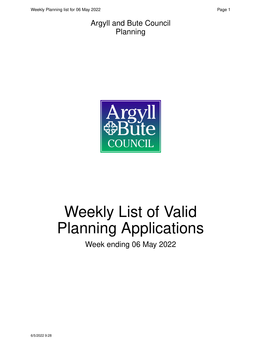#### Argyll and Bute Council Planning



# Weekly List of Valid Planning Applications

Week ending 06 May 2022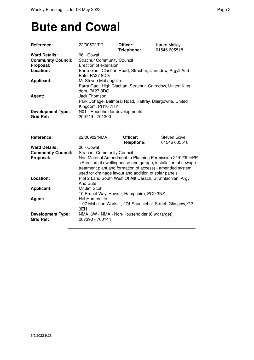### **Bute and Cowal**

| Reference:                                                      | 22/00572/PP                                                                                                                     | Officer:<br>Telephone: | Karen Malloy<br>01546 605518                                                                                                |  |
|-----------------------------------------------------------------|---------------------------------------------------------------------------------------------------------------------------------|------------------------|-----------------------------------------------------------------------------------------------------------------------------|--|
| <b>Ward Details:</b>                                            | 06 - Cowal                                                                                                                      |                        |                                                                                                                             |  |
| <b>Community Council:</b>                                       | <b>Strachur Community Council</b>                                                                                               |                        |                                                                                                                             |  |
| Proposal:                                                       | Erection of extension                                                                                                           |                        |                                                                                                                             |  |
| Location:                                                       | Earra Gael, Clachan Road, Strachur, Cairndow, Argyll And                                                                        |                        |                                                                                                                             |  |
|                                                                 | Bute, PA27 8DG                                                                                                                  |                        |                                                                                                                             |  |
| <b>Applicant:</b>                                               | Mr Steven McLaughlin                                                                                                            |                        |                                                                                                                             |  |
|                                                                 | Earra Gael, High Clachan, Strachur, Cairndow, United King-                                                                      |                        |                                                                                                                             |  |
|                                                                 | dom, PA27 8DG                                                                                                                   |                        |                                                                                                                             |  |
| Agent:                                                          | Jack Thomson                                                                                                                    |                        |                                                                                                                             |  |
|                                                                 | Park Cottage, Balmoral Road, Rattray, Blairgowrie, United                                                                       |                        |                                                                                                                             |  |
|                                                                 | Kingdom, PH10 7HY                                                                                                               |                        |                                                                                                                             |  |
| <b>Development Type:</b>                                        | N01 - Householder developments                                                                                                  |                        |                                                                                                                             |  |
| <b>Grid Ref:</b>                                                | 209749 - 701300                                                                                                                 |                        |                                                                                                                             |  |
|                                                                 |                                                                                                                                 |                        |                                                                                                                             |  |
| Reference:<br><b>Ward Details:</b><br><b>Community Council:</b> | 22/00902/NMA<br>06 - Cowal<br><b>Strachur Community Council</b>                                                                 | Officer:<br>Telephone: | <b>Steven Gove</b><br>01546 605518                                                                                          |  |
| Proposal:                                                       | treatment plant and formation of access) - amended system<br>used for drainage layout and addition of solar panels              |                        | Non Material Amendment to Planning Permission 21/02394/PP<br>-(Erection of dwellinghouse and garage, installation of sewage |  |
| Location:                                                       | Plot 2 Land South West Of Allt Darach, Strathlachlan, Argyll<br>And Bute                                                        |                        |                                                                                                                             |  |
| <b>Applicant:</b>                                               | Mr Jim Scott<br>10 Brunel Way, Havant, Hampshire, PO9 3NZ                                                                       |                        |                                                                                                                             |  |
| Agent:<br><b>Development Type:</b>                              | HebHomes Ltd<br>1.07 McLellan Works, 274 Sauchiehall Street, Glasgow, G2<br>3EH<br>NMA 6W - NMA - Non-Householder (6 wk target) |                        |                                                                                                                             |  |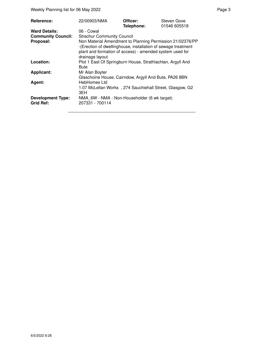Weekly Planning list for 06 May 2022 **Page 3** Page 3

| Reference:                                   | 22/00903/NMA                                                                                                                                                                                              | Officer:<br>Telephone: | Steven Gove<br>01546 605518 |
|----------------------------------------------|-----------------------------------------------------------------------------------------------------------------------------------------------------------------------------------------------------------|------------------------|-----------------------------|
| <b>Ward Details:</b>                         | 06 - Cowal                                                                                                                                                                                                |                        |                             |
| <b>Community Council:</b>                    | <b>Strachur Community Council</b>                                                                                                                                                                         |                        |                             |
| Proposal:                                    | Non Material Amendment to Planning Permission 21/02376/PP<br>-(Erection of dwellinghouse, installation of sewage treatment<br>plant and formation of access) - amended system used for<br>drainage layout |                        |                             |
| Location:                                    | Plot 1 East Of Springburn House, Strathlachlan, Argyll And<br><b>Bute</b>                                                                                                                                 |                        |                             |
| <b>Applicant:</b>                            | Mr Alan Boyter<br>Glaschoine House, Cairndow, Argyll And Bute, PA26 8BN                                                                                                                                   |                        |                             |
| Agent:                                       | <b>HebHomes Ltd</b>                                                                                                                                                                                       |                        |                             |
|                                              | 1.07 McLellan Works, 274 Sauchiehall Street, Glasgow, G2<br>3EH                                                                                                                                           |                        |                             |
| <b>Development Type:</b><br><b>Grid Ref:</b> | NMA 6W - NMA - Non-Householder (6 wk target)<br>207331 - 700114                                                                                                                                           |                        |                             |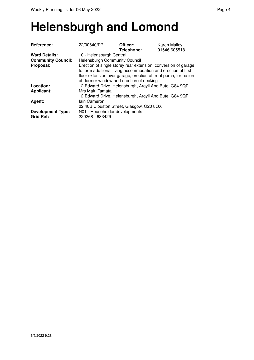#### **Helensburgh and Lomond**

| Reference:                                   | 22/00640/PP                                                                                                                                                                                                                                    | Officer:<br>Telephone: | <b>Karen Malloy</b><br>01546 605518 |  |  |
|----------------------------------------------|------------------------------------------------------------------------------------------------------------------------------------------------------------------------------------------------------------------------------------------------|------------------------|-------------------------------------|--|--|
| <b>Ward Details:</b>                         | 10 - Helensburgh Central                                                                                                                                                                                                                       |                        |                                     |  |  |
| <b>Community Council:</b>                    | <b>Helensburgh Community Council</b>                                                                                                                                                                                                           |                        |                                     |  |  |
| Proposal:                                    | Erection of single storey rear extension, conversion of garage<br>to form additional living accommodation and erection of first<br>floor extension over garage, erection of front porch, formation<br>of dormer window and erection of decking |                        |                                     |  |  |
| Location:                                    | 12 Edward Drive, Helensburgh, Argyll And Bute, G84 9QP                                                                                                                                                                                         |                        |                                     |  |  |
| <b>Applicant:</b>                            | Mrs Mairi Tamata                                                                                                                                                                                                                               |                        |                                     |  |  |
|                                              | 12 Edward Drive, Helensburgh, Argyll And Bute, G84 9QP                                                                                                                                                                                         |                        |                                     |  |  |
| Agent:                                       | lain Cameron                                                                                                                                                                                                                                   |                        |                                     |  |  |
|                                              | 02 40B Clouston Street, Glasgow, G20 8QX                                                                                                                                                                                                       |                        |                                     |  |  |
| <b>Development Type:</b><br><b>Grid Ref:</b> | N01 - Householder developments<br>229268 - 683429                                                                                                                                                                                              |                        |                                     |  |  |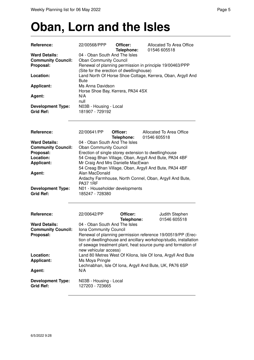#### **Oban, Lorn and the Isles**

| Reference:                                                     | 22/00568/PPP                                                                                                                                                                                                              | Officer:<br>Telephone: | Allocated To Area Office<br>01546 605518                                                                       |  |
|----------------------------------------------------------------|---------------------------------------------------------------------------------------------------------------------------------------------------------------------------------------------------------------------------|------------------------|----------------------------------------------------------------------------------------------------------------|--|
| <b>Ward Details:</b><br><b>Community Council:</b><br>Proposal: | 04 - Oban South And The Isles<br><b>Oban Community Council</b><br>Renewal of planning permission in principle 19/00463/PPP<br>(Site for the erection of dwellinghouse)                                                    |                        |                                                                                                                |  |
| Location:                                                      | <b>Bute</b>                                                                                                                                                                                                               |                        | Land North Of Horse Shoe Cottage, Kerrera, Oban, Argyll And                                                    |  |
| <b>Applicant:</b>                                              | Ms Anna Davidson<br>Horse Shoe Bay, Kerrera, PA34 4SX                                                                                                                                                                     |                        |                                                                                                                |  |
| Agent:                                                         | N/A<br>null                                                                                                                                                                                                               |                        |                                                                                                                |  |
| <b>Development Type:</b><br><b>Grid Ref:</b>                   | N03B - Housing - Local<br>181907 - 729192                                                                                                                                                                                 |                        |                                                                                                                |  |
| Reference:                                                     | 22/00641/PP                                                                                                                                                                                                               | Officer:<br>Telephone: | Allocated To Area Office<br>01546 605518                                                                       |  |
| <b>Ward Details:</b>                                           | 04 - Oban South And The Isles                                                                                                                                                                                             |                        |                                                                                                                |  |
| <b>Community Council:</b>                                      | <b>Oban Community Council</b>                                                                                                                                                                                             |                        |                                                                                                                |  |
| Proposal:<br>Location:                                         |                                                                                                                                                                                                                           |                        | Erection of single storey extension to dwellinghouse<br>54 Creag Bhan Village, Oban, Argyll And Bute, PA34 4BF |  |
| <b>Applicant:</b>                                              | Mr Craig And Mrs Danielle MacEwan                                                                                                                                                                                         |                        |                                                                                                                |  |
|                                                                |                                                                                                                                                                                                                           |                        | 54 Creag Bhan Village, Oban, Argyll And Bute, PA34 4BF                                                         |  |
| Agent:                                                         | Alan MacDonald                                                                                                                                                                                                            |                        |                                                                                                                |  |
|                                                                |                                                                                                                                                                                                                           |                        | Ardachy Farmhouse, North Connel, Oban, Argyll And Bute,                                                        |  |
|                                                                | <b>PA37 1RF</b>                                                                                                                                                                                                           |                        |                                                                                                                |  |
| <b>Development Type:</b><br><b>Grid Ref:</b>                   | N01 - Householder developments<br>185247 - 728380                                                                                                                                                                         |                        |                                                                                                                |  |
| Reference:                                                     | 22/00642/PP                                                                                                                                                                                                               | Officer:<br>Telephone: | Judith Stephen<br>01546 605518                                                                                 |  |
| <b>Ward Details:</b>                                           | 04 - Oban South And The Isles                                                                                                                                                                                             |                        |                                                                                                                |  |
| <b>Community Council:</b>                                      | Iona Community Council                                                                                                                                                                                                    |                        |                                                                                                                |  |
| Proposal:                                                      | Renewal of planning permission reference 19/00519/PP (Erec-<br>tion of dwellinghouse and ancillary workshop/studio, installation<br>of sewage treatment plant, heat source pump and formation of<br>new vehicular access) |                        |                                                                                                                |  |
| Location:                                                      |                                                                                                                                                                                                                           |                        | Land 80 Metres West Of Kilona, Isle Of Iona, Argyll And Bute                                                   |  |
| <b>Applicant:</b>                                              | Ms Moya Pringle                                                                                                                                                                                                           |                        |                                                                                                                |  |
| Agent:                                                         | N/A                                                                                                                                                                                                                       |                        | Lechnabhan, Isle Of Iona, Argyll And Bute, UK, PA76 6SP                                                        |  |
| <b>Development Type:</b><br><b>Grid Ref:</b>                   | N03B - Housing - Local<br>127203 - 723665                                                                                                                                                                                 |                        |                                                                                                                |  |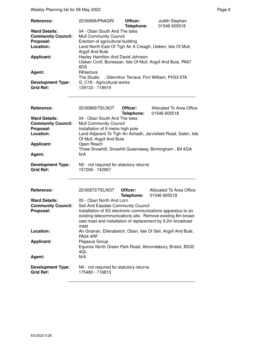| <b>Reference:</b>         | 22/00806/PNAGRI                                                                                         | Officer:   | Judith Stephen |
|---------------------------|---------------------------------------------------------------------------------------------------------|------------|----------------|
|                           |                                                                                                         | Telephone: | 01546 605518   |
| <b>Ward Details:</b>      | 04 - Oban South And The Isles                                                                           |            |                |
| <b>Community Council:</b> | <b>Mull Community Council</b>                                                                           |            |                |
| Proposal:                 | Erection of agricultural building                                                                       |            |                |
| Location:                 | Land North East Of Tigh Air A Creagh, Uisken, Isle Of Mull,<br>Argyll And Bute                          |            |                |
| <b>Applicant:</b>         | Hayley Hamilton And David Johnson<br>Uisken Croft, Bunessan, Isle Of Mull, Argyll And Bute, PA67<br>6DS |            |                |
| Agent:                    | RKtecture<br>The Studio , Glenmhor Terrace, Fort William, PH33 6TA                                      |            |                |
| <b>Development Type:</b>  | G C18 - Agricultural works                                                                              |            |                |
| <b>Grid Ref:</b>          | 139133 - 718919                                                                                         |            |                |
|                           |                                                                                                         |            |                |

| Reference:                | 22/00869/TELNOT                                                | Officer:   | Allocated To Area Office                               |  |
|---------------------------|----------------------------------------------------------------|------------|--------------------------------------------------------|--|
|                           |                                                                | Telephone: | 01546 605518                                           |  |
| <b>Ward Details:</b>      | 04 - Oban South And The Isles                                  |            |                                                        |  |
| <b>Community Council:</b> | <b>Mull Community Council</b>                                  |            |                                                        |  |
| Proposal:                 | Installation of 9 metre high pole                              |            |                                                        |  |
| Location:                 | Land Adjacent To Tigh An Achadh, Jarvisfield Road, Salen, Isle |            |                                                        |  |
|                           | Of Mull, Argyll And Bute                                       |            |                                                        |  |
| <b>Applicant:</b>         | Open Reach                                                     |            |                                                        |  |
|                           |                                                                |            | Three Snowhill, Snowhill Queensway, Birmingham, B4 6GA |  |
| Agent:                    | N/A                                                            |            |                                                        |  |
| <b>Development Type:</b>  | NO - not required for statutory returns                        |            |                                                        |  |
| <b>Grid Ref:</b>          | 157206 - 742957                                                |            |                                                        |  |

| <b>Reference:</b>                            | 22/00873/TELNOT                                                                                                                                                                                    | Officer: | Allocated To Area Office<br><b>Telephone: 01546 605518</b>    |
|----------------------------------------------|----------------------------------------------------------------------------------------------------------------------------------------------------------------------------------------------------|----------|---------------------------------------------------------------|
| <b>Ward Details:</b>                         | 05 - Oban North And Lorn                                                                                                                                                                           |          |                                                               |
| <b>Community Council:</b>                    | Seil And Easdale Community Council                                                                                                                                                                 |          |                                                               |
| Proposal:                                    | Installation of 5G electronic communications apparatus to an<br>existing telecommunications site. Remove existing 8m broad-<br>cast mast and installation of replacement by 9.2m broadcast<br>mast |          |                                                               |
| Location:                                    | <b>PA34 4RF</b>                                                                                                                                                                                    |          | An Grianan, Ellenabeich, Oban, Isle Of Seil, Argyll And Bute, |
| <b>Applicant:</b>                            | Pegasus Group<br>4QL                                                                                                                                                                               |          | Equinox North Green Park Road, Almondsbury, Bristol, BS32     |
| Agent:                                       | N/A                                                                                                                                                                                                |          |                                                               |
| <b>Development Type:</b><br><b>Grid Ref:</b> | N0 - not required for statutory returns<br>175480 - 716813                                                                                                                                         |          |                                                               |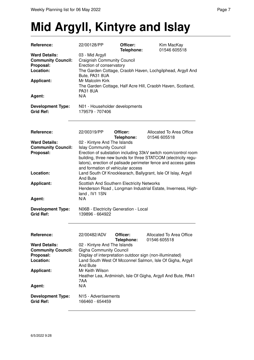## **Mid Argyll, Kintyre and Islay**

| Reference:                                                                  | 22/00128/PP                                                                                                            | Officer:<br>Telephone: | Kim MacKay<br>01546 605518                                                                                                                                                                         |
|-----------------------------------------------------------------------------|------------------------------------------------------------------------------------------------------------------------|------------------------|----------------------------------------------------------------------------------------------------------------------------------------------------------------------------------------------------|
| <b>Ward Details:</b><br><b>Community Council:</b><br>Proposal:<br>Location: | 03 - Mid Argyll<br><b>Craignish Community Council</b><br>Erection of conservatory<br>Bute, PA31 8UA<br>Mr Malcolm Kirk |                        | The Garden Cottage, Craobh Haven, Lochgilphead, Argyll And                                                                                                                                         |
| <b>Applicant:</b>                                                           | <b>PA31 8UA</b><br>N/A                                                                                                 |                        | The Garden Cottage, Half Acre Hill, Craobh Haven, Scotland,                                                                                                                                        |
| Agent:                                                                      |                                                                                                                        |                        |                                                                                                                                                                                                    |
| <b>Development Type:</b><br><b>Grid Ref:</b>                                | N01 - Householder developments<br>179579 - 707406                                                                      |                        |                                                                                                                                                                                                    |
| Reference:                                                                  | 22/00319/PP                                                                                                            | Officer:<br>Telephone: | Allocated To Area Office<br>01546 605518                                                                                                                                                           |
| <b>Ward Details:</b>                                                        | 02 - Kintyre And The Islands                                                                                           |                        |                                                                                                                                                                                                    |
| <b>Community Council:</b><br>Proposal:                                      | <b>Islay Community Council</b><br>and formation of vehicular access                                                    |                        | Erection of substation including 33kV switch room/control room<br>building, three new bunds for three STATCOM (electricity regu-<br>lators), erection of palisade perimeter fence and access gates |
| Location:                                                                   | And Bute                                                                                                               |                        | Land South Of Knocklearach, Ballygrant, Isle Of Islay, Argyll                                                                                                                                      |
| <b>Applicant:</b>                                                           | Scottish And Southern Electricity Networks<br>land, IV1 1SN                                                            |                        | Henderson Road, Longman Industrial Estate, Inverness, High-                                                                                                                                        |
| Agent:                                                                      | N/A                                                                                                                    |                        |                                                                                                                                                                                                    |
| <b>Development Type:</b><br><b>Grid Ref:</b>                                | N06B - Electricity Generation - Local<br>139896 - 664922                                                               |                        |                                                                                                                                                                                                    |
| <b>Reference:</b>                                                           | 22/00482/ADV                                                                                                           | Officer:<br>Telephone: | Allocated To Area Office<br>01546 605518                                                                                                                                                           |
| <b>Ward Details:</b><br><b>Community Council:</b><br>Proposal:<br>Location: | 02 - Kintyre And The Islands<br><b>Gigha Community Council</b><br>And Bute                                             |                        | Display of interpretation outdoor sign (non-illuminated)<br>Land South West Of Mcconnel Salmon, Isle Of Gigha, Argyll                                                                              |
| <b>Applicant:</b>                                                           | Mr Keith Wilson<br>7AA                                                                                                 |                        | Heather Lea, Ardminish, Isle Of Gigha, Argyll And Bute, PA41                                                                                                                                       |
| Agent:                                                                      | N/A                                                                                                                    |                        |                                                                                                                                                                                                    |
| <b>Development Type:</b><br><b>Grid Ref:</b>                                | N15 - Advertisements<br>166460 - 654459                                                                                |                        |                                                                                                                                                                                                    |